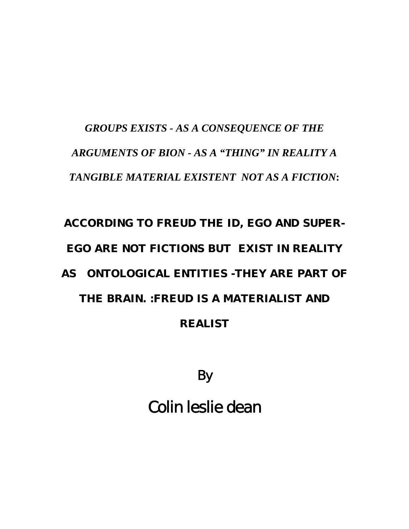# *GROUPS EXISTS - AS A CONSEQUENCE OF THE ARGUMENTS OF BION - AS A "THING" IN REALITY A TANGIBLE MATERIAL EXISTENT NOT AS A FICTION***:**

# **ACCORDING TO FREUD THE ID, EGO AND SUPER-EGO ARE NOT FICTIONS BUT EXIST IN REALITY AS ONTOLOGICAL ENTITIES -THEY ARE PART OF THE BRAIN. :FREUD IS A MATERIALIST AND REALIST**

By

Colin leslie dean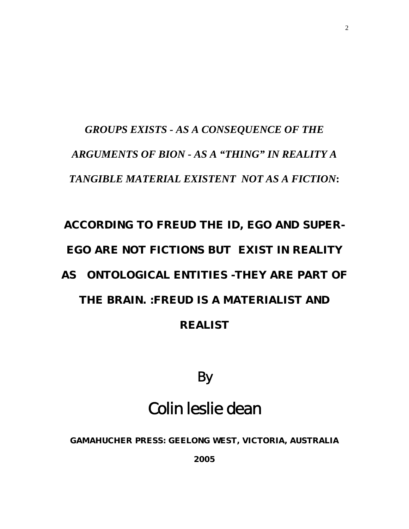## *GROUPS EXISTS - AS A CONSEQUENCE OF THE ARGUMENTS OF BION - AS A "THING" IN REALITY A TANGIBLE MATERIAL EXISTENT NOT AS A FICTION***:**

# **ACCORDING TO FREUD THE ID, EGO AND SUPER-EGO ARE NOT FICTIONS BUT EXIST IN REALITY AS ONTOLOGICAL ENTITIES -THEY ARE PART OF THE BRAIN. :FREUD IS A MATERIALIST AND REALIST**

By

## Colin leslie dean

**GAMAHUCHER PRESS: GEELONG WEST, VICTORIA, AUSTRALIA** 

**2005**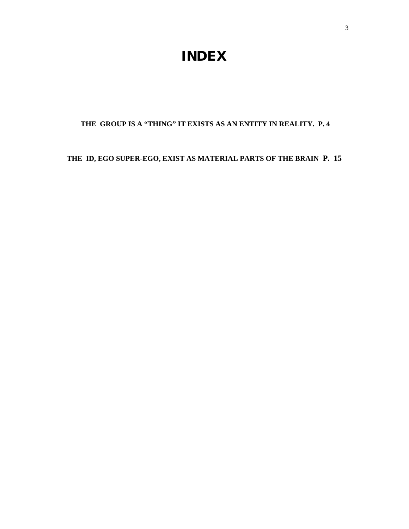### **INDEX**

#### **THE GROUP IS A "THING" IT EXISTS AS AN ENTITY IN REALITY. P. 4**

#### **THE ID, EGO SUPER-EGO, EXIST AS MATERIAL PARTS OF THE BRAIN P. 15**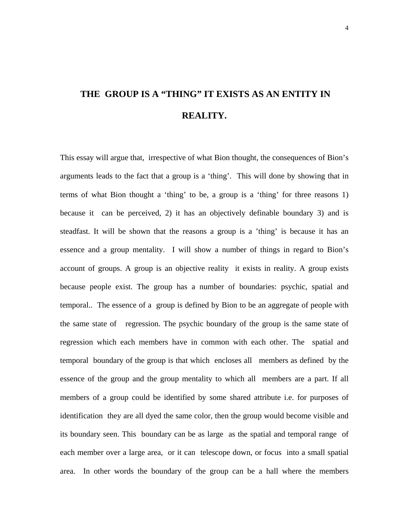## **THE GROUP IS A "THING" IT EXISTS AS AN ENTITY IN REALITY.**

This essay will argue that, irrespective of what Bion thought, the consequences of Bion's arguments leads to the fact that a group is a 'thing'. This will done by showing that in terms of what Bion thought a 'thing' to be, a group is a 'thing' for three reasons 1) because it can be perceived, 2) it has an objectively definable boundary 3) and is steadfast. It will be shown that the reasons a group is a 'thing' is because it has an essence and a group mentality. I will show a number of things in regard to Bion's account of groups. A group is an objective reality it exists in reality. A group exists because people exist. The group has a number of boundaries: psychic, spatial and temporal.. The essence of a group is defined by Bion to be an aggregate of people with the same state of regression. The psychic boundary of the group is the same state of regression which each members have in common with each other. The spatial and temporal boundary of the group is that which encloses all members as defined by the essence of the group and the group mentality to which all members are a part. If all members of a group could be identified by some shared attribute i.e. for purposes of identification they are all dyed the same color, then the group would become visible and its boundary seen. This boundary can be as large as the spatial and temporal range of each member over a large area, or it can telescope down, or focus into a small spatial area. In other words the boundary of the group can be a hall where the members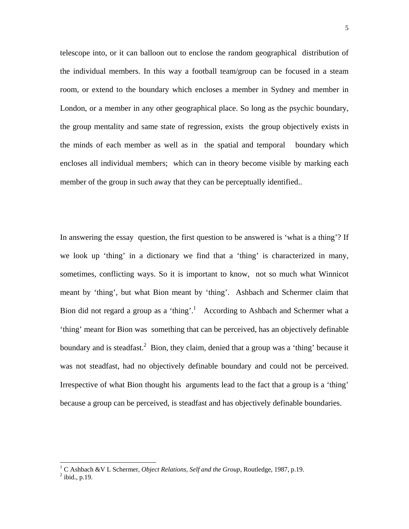telescope into, or it can balloon out to enclose the random geographical distribution of the individual members. In this way a football team/group can be focused in a steam room, or extend to the boundary which encloses a member in Sydney and member in London, or a member in any other geographical place. So long as the psychic boundary, the group mentality and same state of regression, exists the group objectively exists in the minds of each member as well as in the spatial and temporal boundary which encloses all individual members; which can in theory become visible by marking each member of the group in such away that they can be perceptually identified..

In answering the essay question, the first question to be answered is 'what is a thing'? If we look up 'thing' in a dictionary we find that a 'thing' is characterized in many, sometimes, conflicting ways. So it is important to know, not so much what Winnicot meant by 'thing', but what Bion meant by 'thing'. Ashbach and Schermer claim that Bion did not regard a group as a 'thing'.<sup>[1](#page-4-0)</sup> According to Ashbach and Schermer what a 'thing' meant for Bion was something that can be perceived, has an objectively definable boundary and is steadfast.<sup>2</sup> Bion, they claim, denied that a group was a 'thing' because it was not steadfast, had no objectively definable boundary and could not be perceived. Irrespective of what Bion thought his arguments lead to the fact that a group is a 'thing' because a group can be perceived, is steadfast and has objectively definable boundaries.

<span id="page-4-0"></span><sup>&</sup>lt;sup>1</sup> C Ashbach &V L Schermer, *Object Relations, Self and the Group*, Routledge, 1987, p.19.<br><sup>2</sup> ibid, n.10

<span id="page-4-1"></span> $2$  ibid., p.19.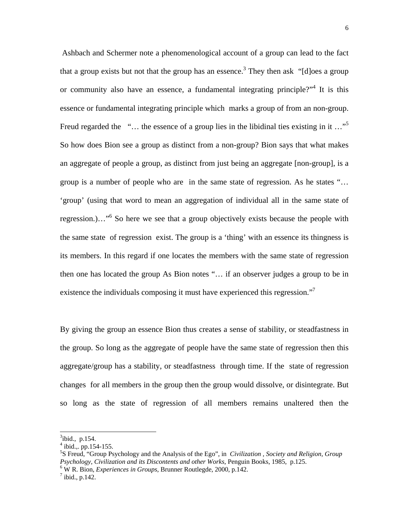Ashbach and Schermer note a phenomenological account of a group can lead to the fact that a group exists but not that the group has an essence.<sup>3</sup> They then ask "[d]oes a group or community also have an essence, a fundamental integrating principle?"<sup>[4](#page-5-1)</sup> It is this essence or fundamental integrating principle which marks a group of from an non-group. Freud regarded the "... the essence of a group lies in the libidinal ties existing in it  $\ldots$ " So how does Bion see a group as distinct from a non-group? Bion says that what makes an aggregate of people a group, as distinct from just being an aggregate [non-group], is a group is a number of people who are in the same state of regression. As he states "… 'group' (using that word to mean an aggregation of individual all in the same state of regression.)..."<sup>[6](#page-5-3)</sup> So here we see that a group objectively exists because the people with the same state of regression exist. The group is a 'thing' with an essence its thingness is its members. In this regard if one locates the members with the same state of regression then one has located the group As Bion notes "… if an observer judges a group to be in existence the individuals composing it must have experienced this regression."<sup>7</sup>

By giving the group an essence Bion thus creates a sense of stability, or steadfastness in the group. So long as the aggregate of people have the same state of regression then this aggregate/group has a stability, or steadfastness through time. If the state of regression changes for all members in the group then the group would dissolve, or disintegrate. But so long as the state of regression of all members remains unaltered then the

l

<span id="page-5-0"></span> $3$ ibid., p.154.

<span id="page-5-1"></span> $4$  ibid.,. pp.154-155.

<span id="page-5-2"></span><sup>5</sup> S Freud, "Group Psychology and the Analysis of the Ego", in *Civilization , Society and Religion, Group Psychology, Civilization and its Discontents and other Works*, Penguin Books, 1985, p.125.

<span id="page-5-3"></span>W R. Bion, *Experiences in Groups*, Brunner Routlegde, 2000, p.142. 7

<span id="page-5-4"></span> $^7$  ibid., p.142.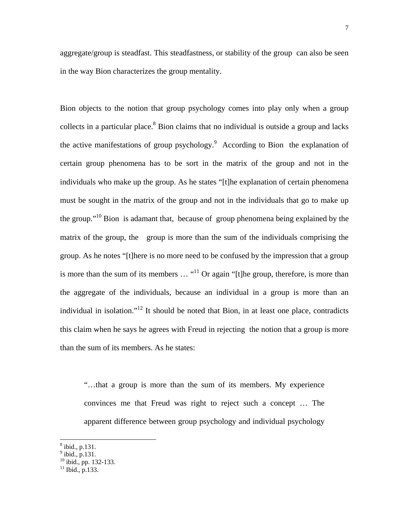aggregate/group is steadfast. This steadfastness, or stability of the group can also be seen in the way Bion characterizes the group mentality.

Bion objects to the notion that group psychology comes into play only when a group collects in a particular place. $8$  Bion claims that no individual is outside a group and lacks the active manifestations of group psychology.<sup>[9](#page-6-1)</sup> According to Bion the explanation of certain group phenomena has to be sort in the matrix of the group and not in the individuals who make up the group. As he states "[t]he explanation of certain phenomena must be sought in the matrix of the group and not in the individuals that go to make up the group.["10](#page-6-2) Bion is adamant that, because of group phenomena being explained by the matrix of the group, the group is more than the sum of the individuals comprising the group. As he notes "[t]here is no more need to be confused by the impression that a group is more than the sum of its members  $\ldots$  "<sup>11</sup> Or again "[t]he group, therefore, is more than the aggregate of the individuals, because an individual in a group is more than an individual in isolation."<sup>12</sup> It should be noted that Bion, in at least one place, contradicts this claim when he says he agrees with Freud in rejecting the notion that a group is more than the sum of its members. As he states:

"…that a group is more than the sum of its members. My experience convinces me that Freud was right to reject such a concept … The apparent difference between group psychology and individual psychology

<span id="page-6-4"></span><span id="page-6-0"></span> $^8$  ibid., p.131.

<span id="page-6-1"></span> $9$  ibid., p.131.

<span id="page-6-2"></span><sup>10</sup> ibid., pp. 132-133.

<span id="page-6-3"></span> $11$  Ibid., p.133.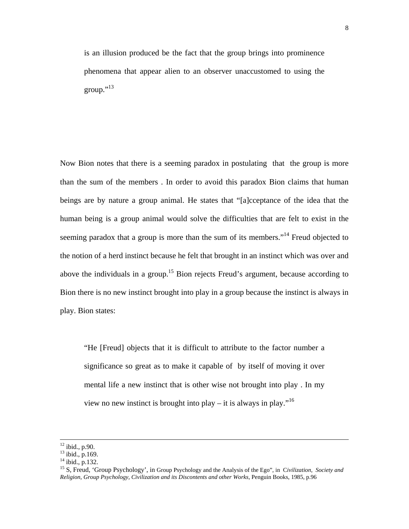is an illusion produced be the fact that the group brings into prominence phenomena that appear alien to an observer unaccustomed to using the group." $^{13}$ 

Now Bion notes that there is a seeming paradox in postulating that the group is more than the sum of the members . In order to avoid this paradox Bion claims that human beings are by nature a group animal. He states that "[a]cceptance of the idea that the human being is a group animal would solve the difficulties that are felt to exist in the seeming paradox that a group is more than the sum of its members."<sup>14</sup> Freud objected to the notion of a herd instinct because he felt that brought in an instinct which was over and above the individuals in a group.<sup>15</sup> Bion rejects Freud's argument, because according to Bion there is no new instinct brought into play in a group because the instinct is always in play. Bion states:

"He [Freud] objects that it is difficult to attribute to the factor number a significance so great as to make it capable of by itself of moving it over mental life a new instinct that is other wise not brought into play . In my view no new instinct is brought into play – it is always in play."<sup>[16](#page-7-3)</sup>

<span id="page-7-3"></span> $12$  ibid., p.90.

<span id="page-7-0"></span> $13$  ibid., p.169.

<span id="page-7-1"></span> $14$  ibid., p.132.

<span id="page-7-2"></span><sup>15</sup> S, Freud, 'Group Psychology', in Group Psychology and the Analysis of the Ego", in C*ivilization, Society and Religion, Group Psychology, Civilization and its Discontents and other Works*, Penguin Books, 1985, p.96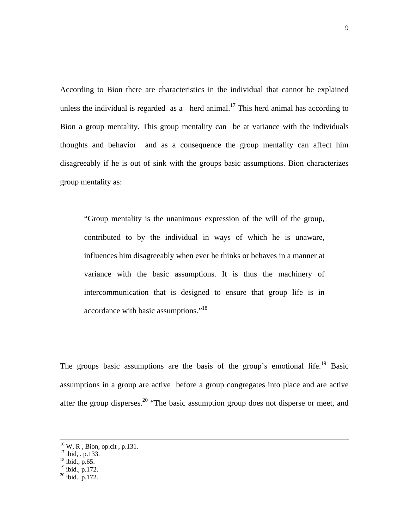According to Bion there are characteristics in the individual that cannot be explained unless the individual is regarded as a herd animal.<sup>17</sup> This herd animal has according to Bion a group mentality. This group mentality can be at variance with the individuals thoughts and behavior and as a consequence the group mentality can affect him disagreeably if he is out of sink with the groups basic assumptions. Bion characterizes group mentality as:

"Group mentality is the unanimous expression of the will of the group, contributed to by the individual in ways of which he is unaware, influences him disagreeably when ever he thinks or behaves in a manner at variance with the basic assumptions. It is thus the machinery of intercommunication that is designed to ensure that group life is in accordance with basic assumptions."[18](#page-8-1) 

The groups basic assumptions are the basis of the group's emotional life.<sup>19</sup> Basic assumptions in a group are active before a group congregates into place and are active after the group disperses.<sup>20</sup> "The basic assumption group does not disperse or meet, and

<sup>16</sup> W, R , Bion, op.cit , p.131.

<span id="page-8-0"></span> $17$  ibid, . p.133.

<span id="page-8-1"></span> $^{18}$  ibid., p.65.

<span id="page-8-2"></span> $19$  ibid., p.172.

<span id="page-8-3"></span> $^{20}$  ibid., p.172.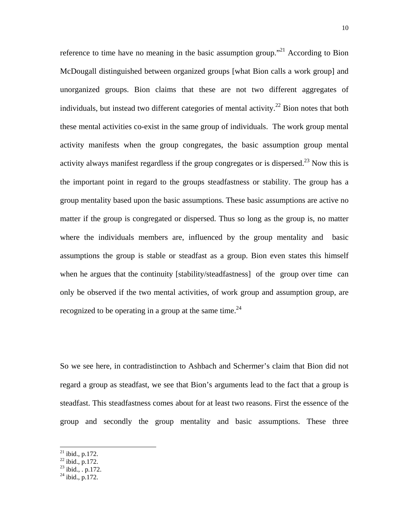reference to time have no meaning in the basic assumption group.<sup>"21</sup> According to Bion McDougall distinguished between organized groups [what Bion calls a work group] and unorganized groups. Bion claims that these are not two different aggregates of individuals, but instead two different categories of mental activity.<sup>22</sup> Bion notes that both these mental activities co-exist in the same group of individuals. The work group mental activity manifests when the group congregates, the basic assumption group mental activity always manifest regardless if the group congregates or is dispersed.<sup>23</sup> Now this is the important point in regard to the groups steadfastness or stability. The group has a group mentality based upon the basic assumptions. These basic assumptions are active no matter if the group is congregated or dispersed. Thus so long as the group is, no matter where the individuals members are, influenced by the group mentality and basic assumptions the group is stable or steadfast as a group. Bion even states this himself when he argues that the continuity [stability/steadfastness] of the group over time can only be observed if the two mental activities, of work group and assumption group, are recognized to be operating in a group at the same time.<sup>[24](#page-9-3)</sup>

So we see here, in contradistinction to Ashbach and Schermer's claim that Bion did not regard a group as steadfast, we see that Bion's arguments lead to the fact that a group is steadfast. This steadfastness comes about for at least two reasons. First the essence of the group and secondly the group mentality and basic assumptions. These three

- <span id="page-9-1"></span> $^{22}$  ibid., p.172.
- <span id="page-9-2"></span> $^{23}$  ibid., . p.172.
- <span id="page-9-3"></span> $^{24}$  ibid., p.172.

<span id="page-9-0"></span> $^{21}$  ibid., p.172.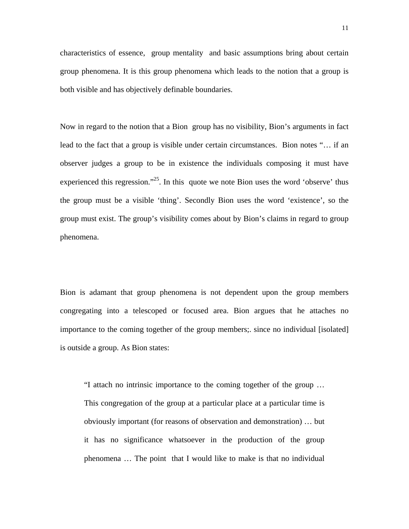characteristics of essence, group mentality and basic assumptions bring about certain group phenomena. It is this group phenomena which leads to the notion that a group is both visible and has objectively definable boundaries.

Now in regard to the notion that a Bion group has no visibility, Bion's arguments in fact lead to the fact that a group is visible under certain circumstances. Bion notes "… if an observer judges a group to be in existence the individuals composing it must have experienced this regression."<sup>25</sup>. In this quote we note Bion uses the word 'observe' thus the group must be a visible 'thing'. Secondly Bion uses the word 'existence', so the group must exist. The group's visibility comes about by Bion's claims in regard to group phenomena.

Bion is adamant that group phenomena is not dependent upon the group members congregating into a telescoped or focused area. Bion argues that he attaches no importance to the coming together of the group members;. since no individual [isolated] is outside a group. As Bion states:

<span id="page-10-0"></span>"I attach no intrinsic importance to the coming together of the group … This congregation of the group at a particular place at a particular time is obviously important (for reasons of observation and demonstration) … but it has no significance whatsoever in the production of the group phenomena … The point that I would like to make is that no individual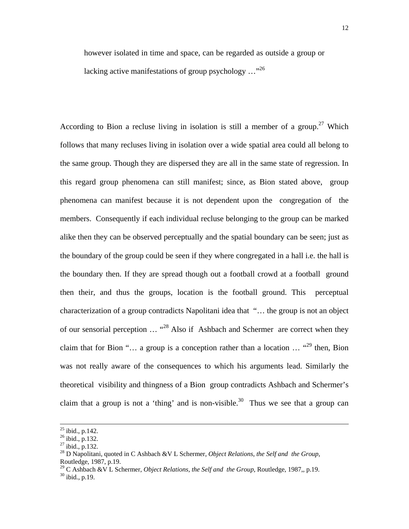however isolated in time and space, can be regarded as outside a group or lacking active manifestations of group psychology ..."<sup>[26](#page-11-0)</sup>

According to Bion a recluse living in isolation is still a member of a group.<sup>27</sup> Which follows that many recluses living in isolation over a wide spatial area could all belong to the same group. Though they are dispersed they are all in the same state of regression. In this regard group phenomena can still manifest; since, as Bion stated above, group phenomena can manifest because it is not dependent upon the congregation of the members. Consequently if each individual recluse belonging to the group can be marked alike then they can be observed perceptually and the spatial boundary can be seen; just as the boundary of the group could be seen if they where congregated in a hall i.e. the hall is the boundary then. If they are spread though out a football crowd at a football ground then their, and thus the groups, location is the football ground. This perceptual characterization of a group contradicts Napolitani idea that "… the group is not an object of our sensorial perception … "[28](#page-11-2) Also if Ashbach and Schermer are correct when they claim that for Bion "... a group is a conception rather than a location  $\ldots$  "<sup>29</sup> then, Bion" was not really aware of the consequences to which his arguments lead. Similarly the theoretical visibility and thingness of a Bion group contradicts Ashbach and Schermer's claim that a group is not a 'thing' and is non-visible.<sup>30</sup> Thus we see that a group can

 $^{25}$  ibid., p.142.

<span id="page-11-0"></span> $^{26}$  ibid., p.132.

<span id="page-11-1"></span> $27$  ibid., p.132.

<span id="page-11-2"></span><sup>28</sup> D Napolitani, quoted in C Ashbach &V L Schermer, *Object Relations, the Self and the Group*, Routledge, 1987, p.19.

<span id="page-11-3"></span><sup>&</sup>lt;sup>29</sup> C Ashbach &V L Schermer, *Object Relations, the Self and the Group*, Routledge, 1987,, p.19. <sup>30</sup> ibid., p.19.

<span id="page-11-4"></span>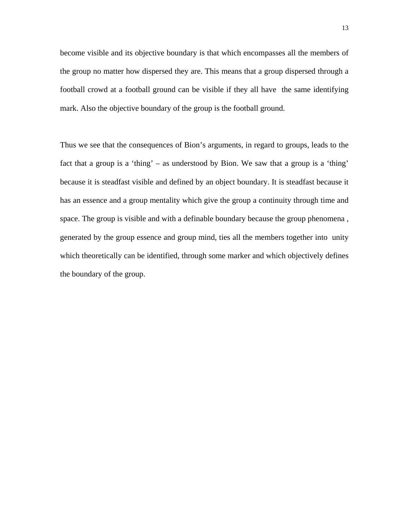become visible and its objective boundary is that which encompasses all the members of the group no matter how dispersed they are. This means that a group dispersed through a football crowd at a football ground can be visible if they all have the same identifying mark. Also the objective boundary of the group is the football ground.

Thus we see that the consequences of Bion's arguments, in regard to groups, leads to the fact that a group is a 'thing' – as understood by Bion. We saw that a group is a 'thing' because it is steadfast visible and defined by an object boundary. It is steadfast because it has an essence and a group mentality which give the group a continuity through time and space. The group is visible and with a definable boundary because the group phenomena , generated by the group essence and group mind, ties all the members together into unity which theoretically can be identified, through some marker and which objectively defines the boundary of the group.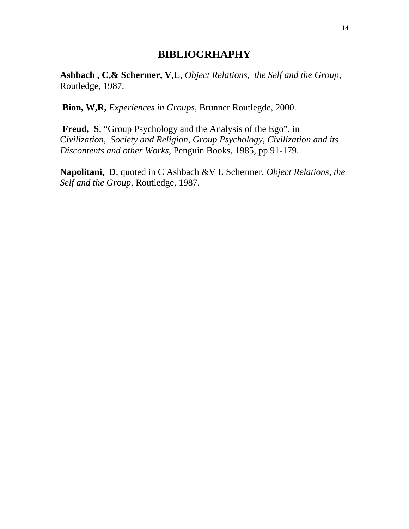#### **BIBLIOGRHAPHY**

**Ashbach , C,& Schermer, V,L**, *Object Relations, the Self and the Group*, Routledge, 1987.

 **Bion, W,R,** *Experiences in Groups*, Brunner Routlegde, 2000.

**Freud, S**, "Group Psychology and the Analysis of the Ego", in C*ivilization, Society and Religion, Group Psychology, Civilization and its Discontents and other Works*, Penguin Books, 1985, pp.91-179.

**Napolitani, D**, quoted in C Ashbach &V L Schermer, *Object Relations, the Self and the Group*, Routledge, 1987.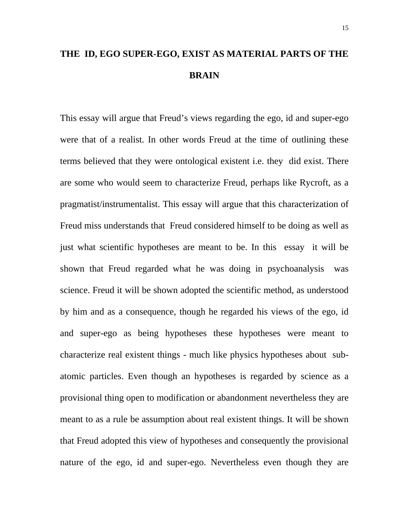## **THE ID, EGO SUPER-EGO, EXIST AS MATERIAL PARTS OF THE BRAIN**

This essay will argue that Freud's views regarding the ego, id and super-ego were that of a realist. In other words Freud at the time of outlining these terms believed that they were ontological existent i.e. they did exist. There are some who would seem to characterize Freud, perhaps like Rycroft, as a pragmatist/instrumentalist. This essay will argue that this characterization of Freud miss understands that Freud considered himself to be doing as well as just what scientific hypotheses are meant to be. In this essay it will be shown that Freud regarded what he was doing in psychoanalysis was science. Freud it will be shown adopted the scientific method, as understood by him and as a consequence, though he regarded his views of the ego, id and super-ego as being hypotheses these hypotheses were meant to characterize real existent things - much like physics hypotheses about subatomic particles. Even though an hypotheses is regarded by science as a provisional thing open to modification or abandonment nevertheless they are meant to as a rule be assumption about real existent things. It will be shown that Freud adopted this view of hypotheses and consequently the provisional nature of the ego, id and super-ego. Nevertheless even though they are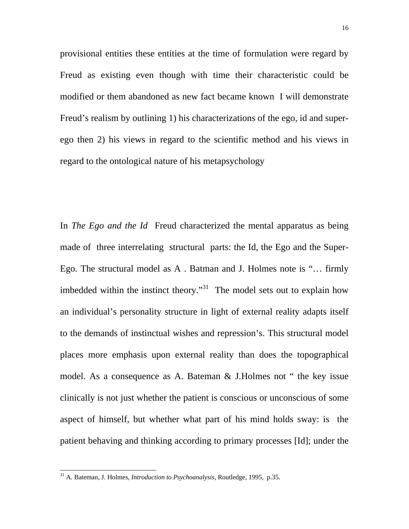provisional entities these entities at the time of formulation were regard by Freud as existing even though with time their characteristic could be modified or them abandoned as new fact became known I will demonstrate Freud's realism by outlining 1) his characterizations of the ego, id and superego then 2) his views in regard to the scientific method and his views in regard to the ontological nature of his metapsychology

In *The Ego and the Id* Freud characterized the mental apparatus as being made of three interrelating structural parts: the Id, the Ego and the Super-Ego. The structural model as A . Batman and J. Holmes note is "… firmly imbedded within the instinct theory."<sup>31</sup> The model sets out to explain how an individual's personality structure in light of external reality adapts itself to the demands of instinctual wishes and repression's. This structural model places more emphasis upon external reality than does the topographical model. As a consequence as A. Bateman & J.Holmes not " the key issue clinically is not just whether the patient is conscious or unconscious of some aspect of himself, but whether what part of his mind holds sway: is the patient behaving and thinking according to primary processes [Id]; under the

<span id="page-15-0"></span><sup>31</sup> A. Bateman, J. Holmes, *Introduction to Psychoanalysis*, Routledge, 1995, p.35.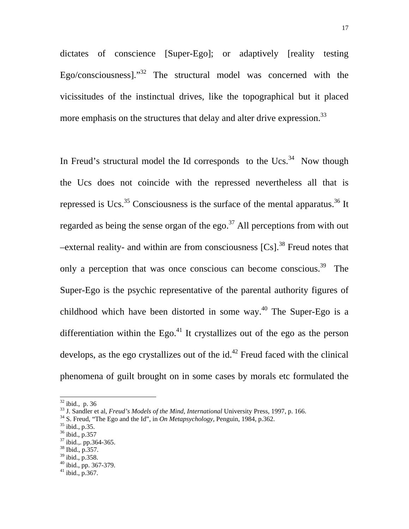dictates of conscience [Super-Ego]; or adaptively [reality testing Ego/consciousness].["32](#page-16-0) The structural model was concerned with the vicissitudes of the instinctual drives, like the topographical but it placed more emphasis on the structures that delay and alter drive expression.<sup>33</sup>

In Freud's structural model the Id corresponds to the Ucs.<sup>34</sup> Now though the Ucs does not coincide with the repressed nevertheless all that is repressed is Ucs.<sup>35</sup> Consciousness is the surface of the mental apparatus.<sup>36</sup> It regarded as being the sense organ of the ego.<sup>37</sup> All perceptions from with out –external reality- and within are from consciousness  $[Cs]$ .<sup>38</sup> Freud notes that only a perception that was once conscious can become conscious.<sup>39</sup> The Super-Ego is the psychic representative of the parental authority figures of childhood which have been distorted in some way.<sup>40</sup> The Super-Ego is a differentiation within the Ego. $41$  It crystallizes out of the ego as the person develops, as the ego crystallizes out of the  $id<sup>42</sup>$  Freud faced with the clinical phenomena of guilt brought on in some cases by morals etc formulated the

<span id="page-16-1"></span><span id="page-16-0"></span>

 $\frac{32}{33}$  ibid., p. 36<br> $\frac{33}{35}$  J. Sandler et al, *Freud's Models of the Mind, International* University Press, 1997, p. 166.

<span id="page-16-2"></span><sup>&</sup>lt;sup>34</sup> S. Freud, *Freud, The Ego and the Id", in On Metapsychology*, Penguin, 1984, p.362. <sup>35</sup> ibid., p.35.

<span id="page-16-10"></span><span id="page-16-3"></span>

<span id="page-16-4"></span><sup>36</sup> ibid., p.357

<span id="page-16-5"></span><sup>37</sup> ibid.,. pp.364-365.

<span id="page-16-6"></span> $38$  Ibid., p.  $357$ .

<span id="page-16-7"></span> $39$  ibid., p.358.

<span id="page-16-8"></span> $40$  ibid., pp. 367-379.

<span id="page-16-9"></span> $^{41}$  ibid., p. 367.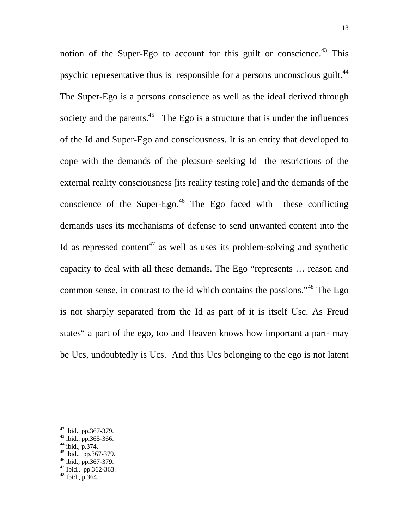notion of the Super-Ego to account for this guilt or conscience.<sup>43</sup> This psychic representative thus is responsible for a persons unconscious guilt.<sup>[44](#page-17-1)</sup> The Super-Ego is a persons conscience as well as the ideal derived through society and the parents. $45$  The Ego is a structure that is under the influences of the Id and Super-Ego and consciousness. It is an entity that developed to cope with the demands of the pleasure seeking Id the restrictions of the external reality consciousness [its reality testing role] and the demands of the conscience of the Super-Ego.<sup>46</sup> The Ego faced with these conflicting demands uses its mechanisms of defense to send unwanted content into the Id as repressed content<sup>47</sup> as well as uses its problem-solving and synthetic capacity to deal with all these demands. The Ego "represents … reason and common sense, in contrast to the id which contains the passions."[48](#page-17-5) The Ego is not sharply separated from the Id as part of it is itself Usc. As Freud states" a part of the ego, too and Heaven knows how important a part- may be Ucs, undoubtedly is Ucs. And this Ucs belonging to the ego is not latent

<sup>42</sup> ibid., pp.367-379.

<span id="page-17-0"></span> $43$  ibid., pp. 365-366.

<span id="page-17-1"></span><sup>44</sup> ibid., p.374.

<span id="page-17-2"></span><sup>45</sup> ibid., pp.367-379.

<span id="page-17-3"></span> $46$  ibid., pp. 367-379.

<span id="page-17-4"></span> $47$  Ibid., pp.362-363.

<span id="page-17-5"></span><sup>48</sup> Ibid., p.364.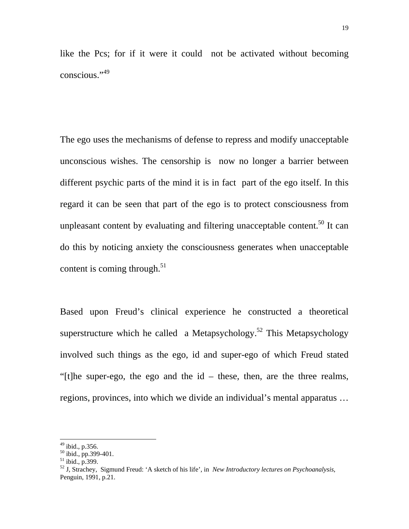like the Pcs; for if it were it could not be activated without becoming conscious."[49](#page-18-0)

The ego uses the mechanisms of defense to repress and modify unacceptable unconscious wishes. The censorship is now no longer a barrier between different psychic parts of the mind it is in fact part of the ego itself. In this regard it can be seen that part of the ego is to protect consciousness from unpleasant content by evaluating and filtering unacceptable content.<sup>50</sup> It can do this by noticing anxiety the consciousness generates when unacceptable content is coming through. $51$ 

Based upon Freud's clinical experience he constructed a theoretical superstructure which he called a Metapsychology.<sup>52</sup> This Metapsychology involved such things as the ego, id and super-ego of which Freud stated "[t]he super-ego, the ego and the id – these, then, are the three realms, regions, provinces, into which we divide an individual's mental apparatus …

<span id="page-18-0"></span> $49$  ibid., p.356.

<span id="page-18-1"></span> $50$  ibid., pp.399-401.

<span id="page-18-2"></span> $51$  ibid., p. 399.

<span id="page-18-3"></span><sup>52</sup> J, Strachey, Sigmund Freud: 'A sketch of his life', in *New Introductory lectures on Psychoanalysis*, Penguin, 1991, p.21.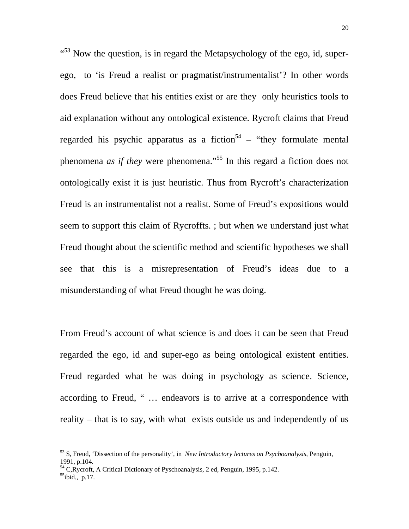$10^{153}$  Now the question, is in regard the Metapsychology of the ego, id, superego, to 'is Freud a realist or pragmatist/instrumentalist'? In other words does Freud believe that his entities exist or are they only heuristics tools to aid explanation without any ontological existence. Rycroft claims that Freud regarded his psychic apparatus as a fiction<sup>54</sup> – "they formulate mental" phenomena *as if they* were phenomena."<sup>55</sup> In this regard a fiction does not ontologically exist it is just heuristic. Thus from Rycroft's characterization Freud is an instrumentalist not a realist. Some of Freud's expositions would seem to support this claim of Rycroffts. ; but when we understand just what Freud thought about the scientific method and scientific hypotheses we shall see that this is a misrepresentation of Freud's ideas due to a misunderstanding of what Freud thought he was doing.

From Freud's account of what science is and does it can be seen that Freud regarded the ego, id and super-ego as being ontological existent entities. Freud regarded what he was doing in psychology as science. Science, according to Freud, " … endeavors is to arrive at a correspondence with reality – that is to say, with what exists outside us and independently of us

<span id="page-19-2"></span> $^{55}$ ibid., p.17.

<span id="page-19-0"></span><sup>53</sup> S, Freud, 'Dissection of the personality', in *New Introductory lectures on Psychoanalysis*, Penguin, 1991, p.104.

<span id="page-19-1"></span><sup>&</sup>lt;sup>54</sup> C,Rycroft, A Critical Dictionary of Pyschoanalysis, 2 ed, Penguin, 1995, p.142.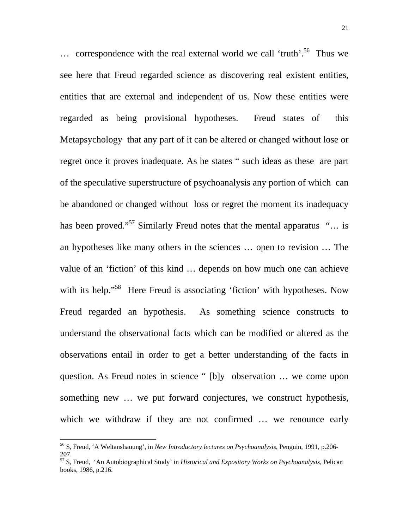$\ldots$  correspondence with the real external world we call 'truth'.<sup>56</sup> Thus we see here that Freud regarded science as discovering real existent entities, entities that are external and independent of us. Now these entities were regarded as being provisional hypotheses. Freud states of this Metapsychology that any part of it can be altered or changed without lose or regret once it proves inadequate. As he states " such ideas as these are part of the speculative superstructure of psychoanalysis any portion of which can be abandoned or changed without loss or regret the moment its inadequacy has been proved."<sup>57</sup> Similarly Freud notes that the mental apparatus "... is an hypotheses like many others in the sciences … open to revision … The value of an 'fiction' of this kind … depends on how much one can achieve with its help."<sup>58</sup> Here Freud is associating 'fiction' with hypotheses. Now Freud regarded an hypothesis. As something science constructs to understand the observational facts which can be modified or altered as the observations entail in order to get a better understanding of the facts in question. As Freud notes in science " [b]y observation … we come upon something new … we put forward conjectures, we construct hypothesis, which we withdraw if they are not confirmed ... we renounce early

<span id="page-20-0"></span><sup>56</sup> S, Freud, 'A Weltanshauung', in *New Introductory lectures on Psychoanalysis*, Penguin, 1991, p.206- 207.

<span id="page-20-1"></span><sup>57</sup> S, Freud, 'An Autobiographical Study' in *Historical and Expository Works on Psychoanalysis*, Pelican books, 1986, p.216.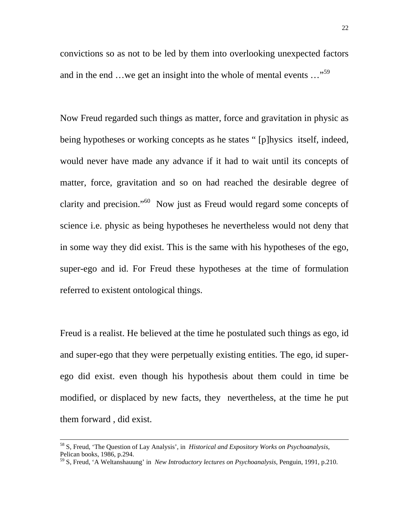convictions so as not to be led by them into overlooking unexpected factors and in the end …we get an insight into the whole of mental events ..."<sup>[59](#page-21-0)</sup>

Now Freud regarded such things as matter, force and gravitation in physic as being hypotheses or working concepts as he states " [p]hysics itself, indeed, would never have made any advance if it had to wait until its concepts of matter, force, gravitation and so on had reached the desirable degree of clarity and precision."<sup>60</sup> Now just as Freud would regard some concepts of science i.e. physic as being hypotheses he nevertheless would not deny that in some way they did exist. This is the same with his hypotheses of the ego, super-ego and id. For Freud these hypotheses at the time of formulation referred to existent ontological things.

Freud is a realist. He believed at the time he postulated such things as ego, id and super-ego that they were perpetually existing entities. The ego, id superego did exist. even though his hypothesis about them could in time be modified, or displaced by new facts, they nevertheless, at the time he put them forward , did exist.

<span id="page-21-1"></span><sup>58</sup> S, Freud, 'The Question of Lay Analysis', in *Historical and Expository Works on Psychoanalysis*, Pelican books, 1986, p.294.

<span id="page-21-0"></span><sup>59</sup> S, Freud, 'A Weltanshauung' in *New Introductory lectures on Psychoanalysis*, Penguin, 1991, p.210.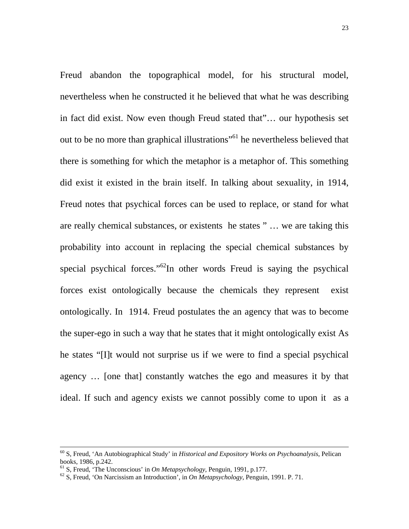Freud abandon the topographical model, for his structural model, nevertheless when he constructed it he believed that what he was describing in fact did exist. Now even though Freud stated that"… our hypothesis set out to be no more than graphical illustrations"<sup>61</sup> he nevertheless believed that there is something for which the metaphor is a metaphor of. This something did exist it existed in the brain itself. In talking about sexuality, in 1914, Freud notes that psychical forces can be used to replace, or stand for what are really chemical substances, or existents he states " … we are taking this probability into account in replacing the special chemical substances by special psychical forces."<sup>62</sup>In other words Freud is saying the psychical forces exist ontologically because the chemicals they represent exist ontologically. In 1914. Freud postulates the an agency that was to become the super-ego in such a way that he states that it might ontologically exist As he states "[I]t would not surprise us if we were to find a special psychical agency … [one that] constantly watches the ego and measures it by that ideal. If such and agency exists we cannot possibly come to upon it as a

<sup>60</sup> S, Freud, 'An Autobiographical Study' in *Historical and Expository Works on Psychoanalysis*, Pelican books, 1986, p.242.<br><sup>61</sup> S. Freud, 'The Unconscious' in *On Metapsychology*, Penguin, 1991, p.177.

<span id="page-22-0"></span>

<span id="page-22-1"></span> $^{62}$  S, Freud, 'On Narcissism an Introduction', in *On Metapsychology*, Penguin, 1991. P. 71.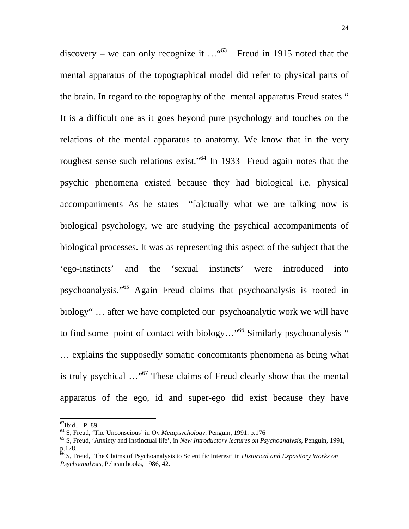discovery – we can only recognize it  $\ldots$ <sup>463</sup> Freud in 1915 noted that the mental apparatus of the topographical model did refer to physical parts of the brain. In regard to the topography of the mental apparatus Freud states " It is a difficult one as it goes beyond pure psychology and touches on the relations of the mental apparatus to anatomy. We know that in the very roughest sense such relations exist."<sup>64</sup> In 1933 Freud again notes that the psychic phenomena existed because they had biological i.e. physical accompaniments As he states "[a]ctually what we are talking now is biological psychology, we are studying the psychical accompaniments of biological processes. It was as representing this aspect of the subject that the 'ego-instincts' and the 'sexual instincts' were introduced into psychoanalysis.["65](#page-23-2) Again Freud claims that psychoanalysis is rooted in biology" … after we have completed our psychoanalytic work we will have to find some point of contact with biology..."<sup>66</sup> Similarly psychoanalysis " … explains the supposedly somatic concomitants phenomena as being what is truly psychical …"[67](#page-23-4) These claims of Freud clearly show that the mental apparatus of the ego, id and super-ego did exist because they have

<span id="page-23-0"></span> $^{63}$ Ibid., . P. 89.

<span id="page-23-2"></span><span id="page-23-1"></span>

<sup>&</sup>lt;sup>64</sup> S, Freud, 'The Unconscious' in *On Metapsychology*, Penguin, 1991, p.176<br><sup>65</sup> S, Freud, 'Anxiety and Instinctual life', in *New Introductory lectures on Psychoanalysis*, Penguin, 1991, p.128.

<span id="page-23-4"></span><span id="page-23-3"></span><sup>66</sup> S, Freud, 'The Claims of Psychoanalysis to Scientific Interest' in *Historical and Expository Works on Psychoanalysis*, Pelican books, 1986, 42.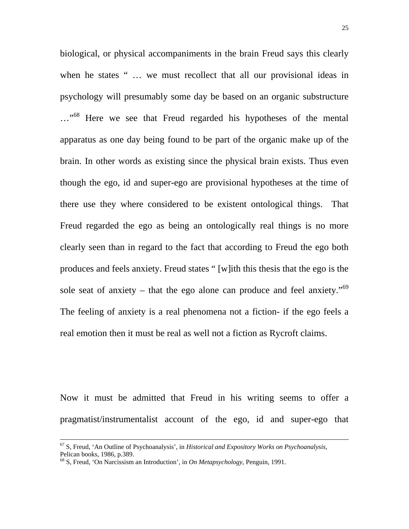biological, or physical accompaniments in the brain Freud says this clearly when he states " ... we must recollect that all our provisional ideas in psychology will presumably some day be based on an organic substructure ..."<sup>68</sup> Here we see that Freud regarded his hypotheses of the mental apparatus as one day being found to be part of the organic make up of the brain. In other words as existing since the physical brain exists. Thus even though the ego, id and super-ego are provisional hypotheses at the time of there use they where considered to be existent ontological things. That Freud regarded the ego as being an ontologically real things is no more clearly seen than in regard to the fact that according to Freud the ego both produces and feels anxiety. Freud states " [w]ith this thesis that the ego is the sole seat of anxiety – that the ego alone can produce and feel anxiety.<sup> $59$ </sup> The feeling of anxiety is a real phenomena not a fiction- if the ego feels a real emotion then it must be real as well not a fiction as Rycroft claims.

Now it must be admitted that Freud in his writing seems to offer a pragmatist/instrumentalist account of the ego, id and super-ego that

<span id="page-24-1"></span><sup>67</sup> S, Freud, 'An Outline of Psychoanalysis', in *Historical and Expository Works on Psychoanalysis*, Pelican books, 1986, p.389.

<span id="page-24-0"></span><sup>68</sup> S, Freud, 'On Narcissism an Introduction', in *On Metapsychology*, Penguin, 1991.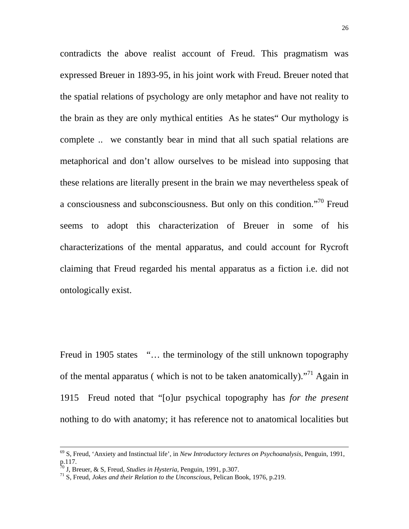contradicts the above realist account of Freud. This pragmatism was expressed Breuer in 1893-95, in his joint work with Freud. Breuer noted that the spatial relations of psychology are only metaphor and have not reality to the brain as they are only mythical entities As he states" Our mythology is complete .. we constantly bear in mind that all such spatial relations are metaphorical and don't allow ourselves to be mislead into supposing that these relations are literally present in the brain we may nevertheless speak of a consciousness and subconsciousness. But only on this condition."[70](#page-25-0) Freud seems to adopt this characterization of Breuer in some of his characterizations of the mental apparatus, and could account for Rycroft claiming that Freud regarded his mental apparatus as a fiction i.e. did not ontologically exist.

Freud in 1905 states "... the terminology of the still unknown topography of the mental apparatus (which is not to be taken anatomically). $^{71}$  Again in 1915 Freud noted that "[o]ur psychical topography has *for the present* nothing to do with anatomy; it has reference not to anatomical localities but

<sup>69</sup> S, Freud, 'Anxiety and Instinctual life', in *New Introductory lectures on Psychoanalysis*, Penguin, 1991, p.117.<br><sup>70</sup> J, Breuer, & S, Freud, *Studies in Hysteria*, Penguin, 1991, p.307.

<span id="page-25-0"></span>

<span id="page-25-1"></span><sup>&</sup>lt;sup>71</sup> S, Freud, *Jokes and their Relation to the Unconscious*, Pelican Book, 1976, p.219.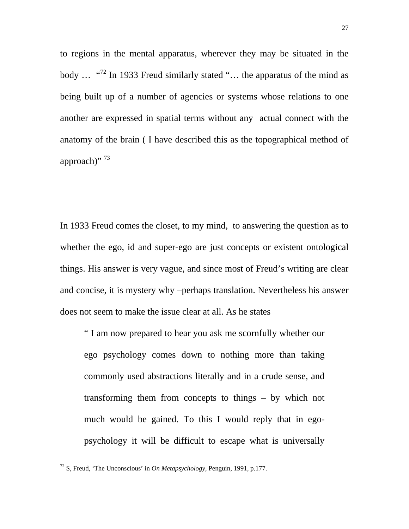to regions in the mental apparatus, wherever they may be situated in the body  $\ldots$  "<sup>72</sup> In 1933 Freud similarly stated " $\ldots$  the apparatus of the mind as being built up of a number of agencies or systems whose relations to one another are expressed in spatial terms without any actual connect with the anatomy of the brain ( I have described this as the topographical method of approach)" [73](#page-26-1)

In 1933 Freud comes the closet, to my mind, to answering the question as to whether the ego, id and super-ego are just concepts or existent ontological things. His answer is very vague, and since most of Freud's writing are clear and concise, it is mystery why –perhaps translation. Nevertheless his answer does not seem to make the issue clear at all. As he states

" I am now prepared to hear you ask me scornfully whether our ego psychology comes down to nothing more than taking commonly used abstractions literally and in a crude sense, and transforming them from concepts to things – by which not much would be gained. To this I would reply that in egopsychology it will be difficult to escape what is universally

<span id="page-26-1"></span><span id="page-26-0"></span><sup>72</sup> S, Freud, 'The Unconscious' in *On Metapsychology*, Penguin, 1991, p.177.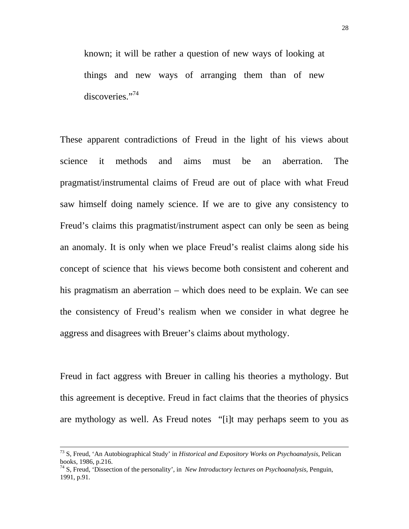known; it will be rather a question of new ways of looking at things and new ways of arranging them than of new discoveries."<sup>[74](#page-27-0)</sup>

These apparent contradictions of Freud in the light of his views about science it methods and aims must be an aberration. The pragmatist/instrumental claims of Freud are out of place with what Freud saw himself doing namely science. If we are to give any consistency to Freud's claims this pragmatist/instrument aspect can only be seen as being an anomaly. It is only when we place Freud's realist claims along side his concept of science that his views become both consistent and coherent and his pragmatism an aberration – which does need to be explain. We can see the consistency of Freud's realism when we consider in what degree he aggress and disagrees with Breuer's claims about mythology.

Freud in fact aggress with Breuer in calling his theories a mythology. But this agreement is deceptive. Freud in fact claims that the theories of physics are mythology as well. As Freud notes "[i]t may perhaps seem to you as

<sup>73</sup> S, Freud, 'An Autobiographical Study' in *Historical and Expository Works on Psychoanalysis*, Pelican books, 1986, p.216.

<span id="page-27-0"></span><sup>74</sup> S, Freud, 'Dissection of the personality', in *New Introductory lectures on Psychoanalysis*, Penguin, 1991, p.91.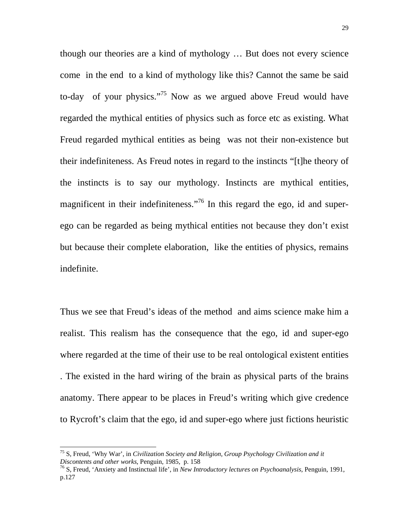though our theories are a kind of mythology … But does not every science come in the end to a kind of mythology like this? Cannot the same be said to-day of your physics."<sup>75</sup> Now as we argued above Freud would have regarded the mythical entities of physics such as force etc as existing. What Freud regarded mythical entities as being was not their non-existence but their indefiniteness. As Freud notes in regard to the instincts "[t]he theory of the instincts is to say our mythology. Instincts are mythical entities, magnificent in their indefiniteness."[76](#page-28-1) In this regard the ego, id and superego can be regarded as being mythical entities not because they don't exist but because their complete elaboration, like the entities of physics, remains indefinite.

Thus we see that Freud's ideas of the method and aims science make him a realist. This realism has the consequence that the ego, id and super-ego where regarded at the time of their use to be real ontological existent entities . The existed in the hard wiring of the brain as physical parts of the brains anatomy. There appear to be places in Freud's writing which give credence to Rycroft's claim that the ego, id and super-ego where just fictions heuristic

<span id="page-28-0"></span><sup>75</sup> S, Freud, 'Why War', in *Civilization Society and Religion, Group Psychology Civilization and it* 

<span id="page-28-1"></span><sup>&</sup>lt;sup>76</sup> S, Freud, 'Anxiety and Instinctual life', in *New Introductory lectures on Psychoanalysis*, Penguin, 1991, p.127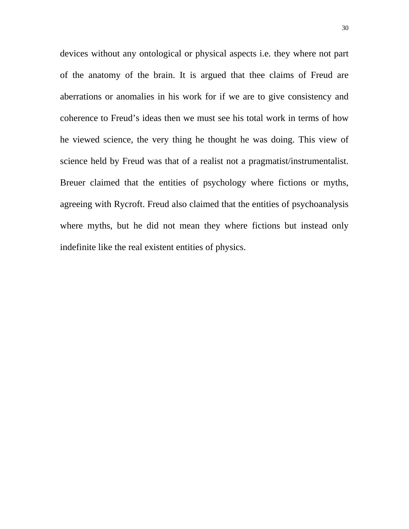devices without any ontological or physical aspects i.e. they where not part of the anatomy of the brain. It is argued that thee claims of Freud are aberrations or anomalies in his work for if we are to give consistency and coherence to Freud's ideas then we must see his total work in terms of how he viewed science, the very thing he thought he was doing. This view of science held by Freud was that of a realist not a pragmatist/instrumentalist. Breuer claimed that the entities of psychology where fictions or myths, agreeing with Rycroft. Freud also claimed that the entities of psychoanalysis where myths, but he did not mean they where fictions but instead only indefinite like the real existent entities of physics.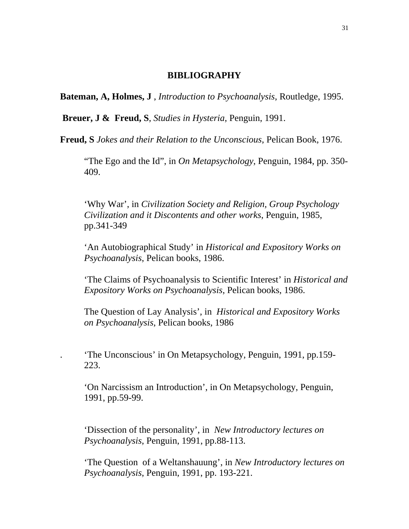#### **BIBLIOGRAPHY**

**Bateman, A, Holmes, J** , *Introduction to Psychoanalysis*, Routledge, 1995.

**Breuer, J & Freud, S**, *Studies in Hysteria*, Penguin, 1991.

**Freud, S** *Jokes and their Relation to the Unconscious*, Pelican Book, 1976.

"The Ego and the Id", in *On Metapsychology*, Penguin, 1984, pp. 350- 409.

'Why War', in *Civilization Society and Religion, Group Psychology Civilization and it Discontents and other works*, Penguin, 1985, pp.341-349

'An Autobiographical Study' in *Historical and Expository Works on Psychoanalysis*, Pelican books, 1986.

'The Claims of Psychoanalysis to Scientific Interest' in *Historical and Expository Works on Psychoanalysis*, Pelican books, 1986.

The Question of Lay Analysis', in *Historical and Expository Works on Psychoanalysis*, Pelican books, 1986

. 'The Unconscious' in On Metapsychology, Penguin, 1991, pp.159- 223.

'On Narcissism an Introduction', in On Metapsychology, Penguin, 1991, pp.59-99.

'Dissection of the personality', in *New Introductory lectures on Psychoanalysis*, Penguin, 1991, pp.88-113.

'The Question of a Weltanshauung', in *New Introductory lectures on Psychoanalysis*, Penguin, 1991, pp. 193-221.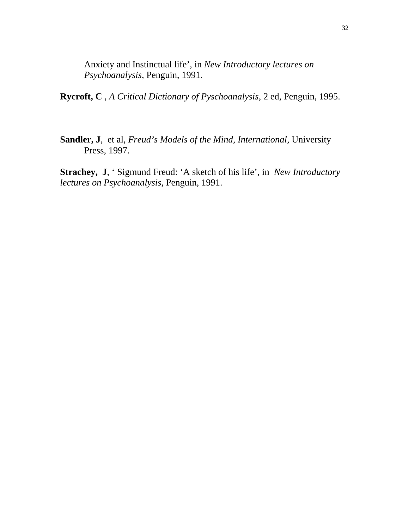Anxiety and Instinctual life', in *New Introductory lectures on Psychoanalysis*, Penguin, 1991.

**Rycroft, C** , *A Critical Dictionary of Pyschoanalysis*, 2 ed, Penguin, 1995.

**Sandler, J**, et al, *Freud's Models of the Mind, International,* University Press, 1997.

**Strachey, J**, ' Sigmund Freud: 'A sketch of his life', in *New Introductory lectures on Psychoanalysis*, Penguin, 1991.